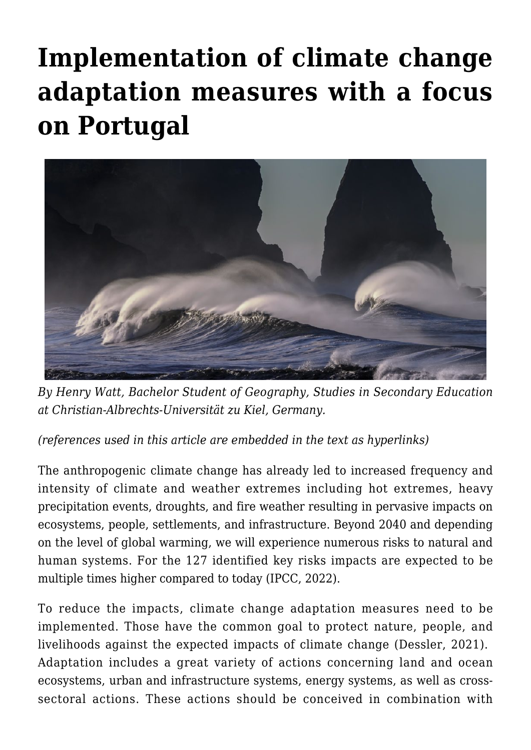## **[Implementation of climate change](https://regions.regionalstudies.org/ezine/article/issue-12-climate-change-portugal/) [adaptation measures with a focus](https://regions.regionalstudies.org/ezine/article/issue-12-climate-change-portugal/) [on Portugal](https://regions.regionalstudies.org/ezine/article/issue-12-climate-change-portugal/)**



*By [Henry Watt,](https://regions.regionalstudies.org/stu215170@mail.uni-kiel.de) Bachelor Student of Geography, Studies in Secondary Education at Christian-Albrechts-Universität zu Kiel, Germany.*

*(references used in this article are embedded in the text as hyperlinks)*

The anthropogenic climate change has already led to increased frequency and intensity of climate and weather extremes including hot extremes, heavy precipitation events, droughts, and fire weather resulting in pervasive impacts on ecosystems, people, settlements, and infrastructure. Beyond 2040 and depending on the level of global warming, we will experience numerous risks to natural and human systems. For the 127 identified key risks impacts are expected to be multiple times higher compared to today ([IPCC, 2022](https://report.ipcc.ch/ar6wg2/pdf/IPCC_AR6_WGII_SummaryForPolicymakers.pdf)).

To reduce the impacts, climate change adaptation measures need to be implemented. Those have the common goal to protect nature, people, and livelihoods against the expected impacts of climate change ([Dessler, 2021](https://www.cambridge.org/highereducation/books/introduction-to-modern-climate-change/AD26BD3227322A87F72BEEA655AB1CF7#overview)). Adaptation includes a great variety of actions concerning land and ocean ecosystems, urban and infrastructure systems, energy systems, as well as crosssectoral actions. These actions should be conceived in combination with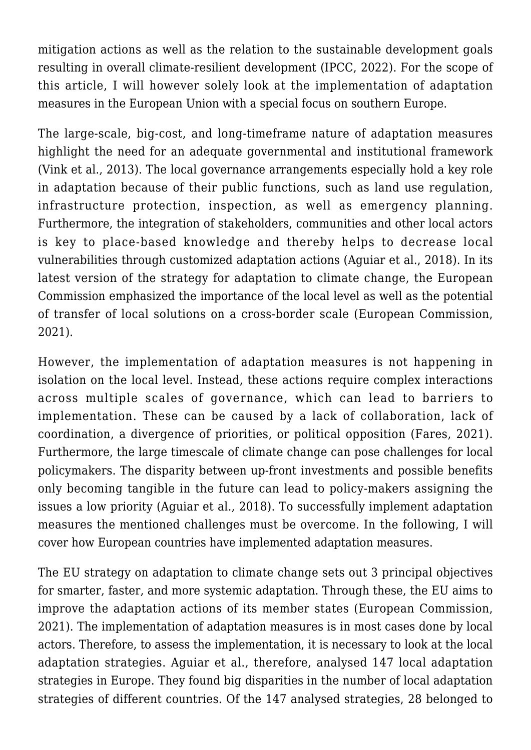mitigation actions as well as the relation to the sustainable development goals resulting in overall climate-resilient development [\(IPCC, 2022](https://report.ipcc.ch/ar6wg2/pdf/IPCC_AR6_WGII_SummaryForPolicymakers.pdf)). For the scope of this article, I will however solely look at the implementation of adaptation measures in the European Union with a special focus on southern Europe.

The large-scale, big-cost, and long-timeframe nature of adaptation measures highlight the need for an adequate governmental and institutional framework [\(Vink et al., 2013\)](https://www.jstor.org/stable/pdf/26269416.pdf?refreqid=excelsior%3A61fc84f8d3828a0408754480759edf35&ab_segments=&origin=). The local governance arrangements especially hold a key role in adaptation because of their public functions, such as land use regulation, infrastructure protection, inspection, as well as emergency planning. Furthermore, the integration of stakeholders, communities and other local actors is key to place-based knowledge and thereby helps to decrease local vulnerabilities through customized adaptation actions [\(Aguiar et al., 2018\)](https://www.sciencedirect.com/science/article/abs/pii/S146290111731153X). In its latest version of the strategy for adaptation to climate change, the European Commission emphasized the importance of the local level as well as the potential of transfer of local solutions on a cross-border scale ([European Commission,](https://eur-lex.europa.eu/legal-content/EN/TXT/?uri=COM:2021:82:FIN) [2021](https://eur-lex.europa.eu/legal-content/EN/TXT/?uri=COM:2021:82:FIN)).

However, the implementation of adaptation measures is not happening in isolation on the local level. Instead, these actions require complex interactions across multiple scales of governance, which can lead to barriers to implementation. These can be caused by a lack of collaboration, lack of coordination, a divergence of priorities, or political opposition ([Fares, 2021\)](https://www.sciencedirect.com/science/article/pii/B9780128227008000093). Furthermore, the large timescale of climate change can pose challenges for local policymakers. The disparity between up-front investments and possible benefits only becoming tangible in the future can lead to policy-makers assigning the issues a low priority ([Aguiar et al., 2018\)](https://www.sciencedirect.com/science/article/abs/pii/S146290111731153X). To successfully implement adaptation measures the mentioned challenges must be overcome. In the following, I will cover how European countries have implemented adaptation measures.

The EU strategy on adaptation to climate change sets out 3 principal objectives for smarter, faster, and more systemic adaptation. Through these, the EU aims to improve the adaptation actions of its member states ([European Commission,](https://eur-lex.europa.eu/legal-content/EN/TXT/?uri=COM:2021:82:FIN) [2021\)](https://eur-lex.europa.eu/legal-content/EN/TXT/?uri=COM:2021:82:FIN). The implementation of adaptation measures is in most cases done by local actors. Therefore, to assess the implementation, it is necessary to look at the local adaptation strategies. Aguiar et al., therefore, analysed 147 local adaptation strategies in Europe. They found big disparities in the number of local adaptation strategies of different countries. Of the 147 analysed strategies, 28 belonged to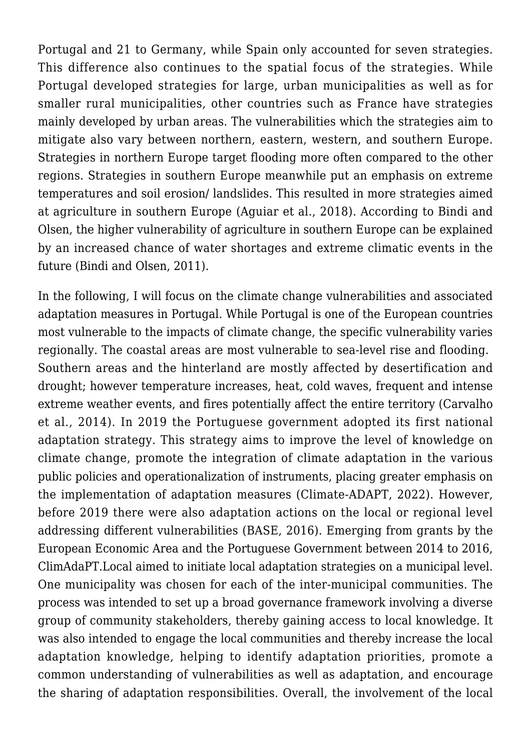Portugal and 21 to Germany, while Spain only accounted for seven strategies. This difference also continues to the spatial focus of the strategies. While Portugal developed strategies for large, urban municipalities as well as for smaller rural municipalities, other countries such as France have strategies mainly developed by urban areas. The vulnerabilities which the strategies aim to mitigate also vary between northern, eastern, western, and southern Europe. Strategies in northern Europe target flooding more often compared to the other regions. Strategies in southern Europe meanwhile put an emphasis on extreme temperatures and soil erosion/ landslides. This resulted in more strategies aimed at agriculture in southern Europe ([Aguiar et al., 2018\)](https://www.sciencedirect.com/science/article/abs/pii/S146290111731153X). According to Bindi and Olsen, the higher vulnerability of agriculture in southern Europe can be explained by an increased chance of water shortages and extreme climatic events in the future [\(Bindi and Olsen, 2011\)](https://link.springer.com/article/10.1007/s10113-010-0173-x).

In the following, I will focus on the climate change vulnerabilities and associated adaptation measures in Portugal. While Portugal is one of the European countries most vulnerable to the impacts of climate change, the specific vulnerability varies regionally. The coastal areas are most vulnerable to sea-level rise and flooding. Southern areas and the hinterland are mostly affected by desertification and drought; however temperature increases, heat, cold waves, frequent and intense extreme weather events, and fires potentially affect the entire territory ([Carvalho](https://wires.onlinelibrary.wiley.com/doi/10.1002/wcc.258) [et al., 2014](https://wires.onlinelibrary.wiley.com/doi/10.1002/wcc.258)). In 2019 the Portuguese government adopted its first national adaptation strategy. This strategy aims to improve the level of knowledge on climate change, promote the integration of climate adaptation in the various public policies and operationalization of instruments, placing greater emphasis on the implementation of adaptation measures ([Climate-ADAPT, 2022](https://climate-adapt.eea.europa.eu/countries-regions/countries/portugal)). However, before 2019 there were also adaptation actions on the local or regional level addressing different vulnerabilities ([BASE, 2016\)](https://base-adaptation.eu/base-adaptation-inspiration-book-23-european-cases-climate-change-adaptation). Emerging from grants by the European Economic Area and the Portuguese Government between 2014 to 2016, ClimAdaPT.Local aimed to initiate local adaptation strategies on a municipal level. One municipality was chosen for each of the inter-municipal communities. The process was intended to set up a broad governance framework involving a diverse group of community stakeholders, thereby gaining access to local knowledge. It was also intended to engage the local communities and thereby increase the local adaptation knowledge, helping to identify adaptation priorities, promote a common understanding of vulnerabilities as well as adaptation, and encourage the sharing of adaptation responsibilities. Overall, the involvement of the local